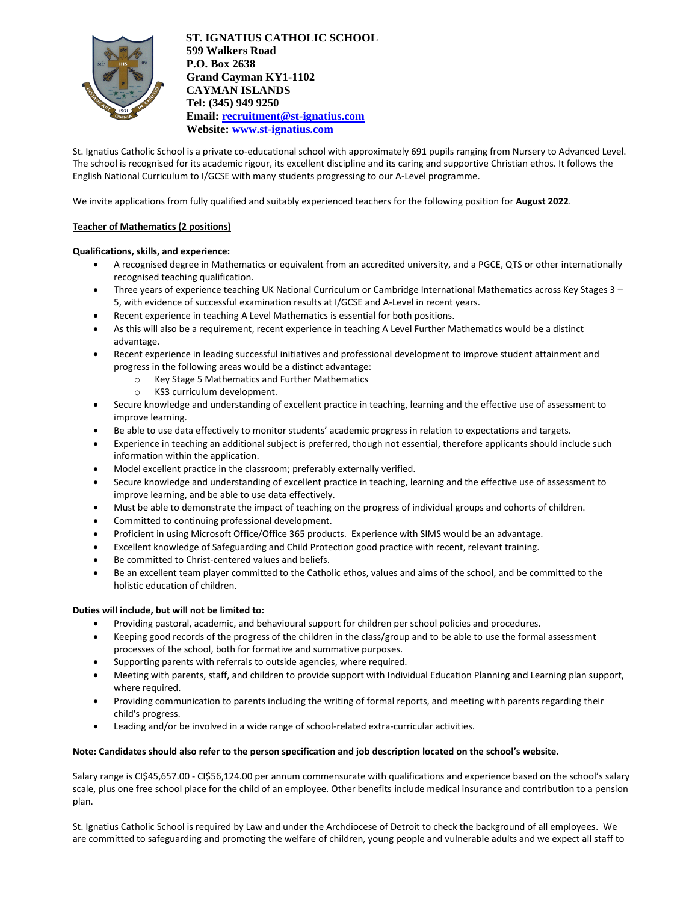

**ST. IGNATIUS CATHOLIC SCHOOL 599 Walkers Road P.O. Box 2638 Grand Cayman KY1-1102 CAYMAN ISLANDS Tel: (345) 949 9250 Email: [recruitment@st-ignatius.com](mailto:recruitment@st-ignatius.com) Website[: www.st-ignatius.com](http://www.st-ignatius.com/)**

St. Ignatius Catholic School is a private co-educational school with approximately 691 pupils ranging from Nursery to Advanced Level. The school is recognised for its academic rigour, its excellent discipline and its caring and supportive Christian ethos. It follows the English National Curriculum to I/GCSE with many students progressing to our A-Level programme.

We invite applications from fully qualified and suitably experienced teachers for the following position for **August 2022**.

## **Teacher of Mathematics (2 positions)**

## **Qualifications, skills, and experience:**

- A recognised degree in Mathematics or equivalent from an accredited university, and a PGCE, QTS or other internationally recognised teaching qualification.
- Three years of experience teaching UK National Curriculum or Cambridge International Mathematics across Key Stages 3 5, with evidence of successful examination results at I/GCSE and A-Level in recent years.
- Recent experience in teaching A Level Mathematics is essential for both positions.
- As this will also be a requirement, recent experience in teaching A Level Further Mathematics would be a distinct advantage.
- Recent experience in leading successful initiatives and professional development to improve student attainment and progress in the following areas would be a distinct advantage:
	- o Key Stage 5 Mathematics and Further Mathematics
	- o KS3 curriculum development.
- Secure knowledge and understanding of excellent practice in teaching, learning and the effective use of assessment to improve learning.
- Be able to use data effectively to monitor students' academic progress in relation to expectations and targets.
- Experience in teaching an additional subject is preferred, though not essential, therefore applicants should include such information within the application.
- Model excellent practice in the classroom; preferably externally verified.
- Secure knowledge and understanding of excellent practice in teaching, learning and the effective use of assessment to improve learning, and be able to use data effectively.
- Must be able to demonstrate the impact of teaching on the progress of individual groups and cohorts of children.
- Committed to continuing professional development.
- Proficient in using Microsoft Office/Office 365 products. Experience with SIMS would be an advantage.
- Excellent knowledge of Safeguarding and Child Protection good practice with recent, relevant training.
- Be committed to Christ-centered values and beliefs.
- Be an excellent team player committed to the Catholic ethos, values and aims of the school, and be committed to the holistic education of children.

## **Duties will include, but will not be limited to:**

- Providing pastoral, academic, and behavioural support for children per school policies and procedures.
- Keeping good records of the progress of the children in the class/group and to be able to use the formal assessment processes of the school, both for formative and summative purposes.
- Supporting parents with referrals to outside agencies, where required.
- Meeting with parents, staff, and children to provide support with Individual Education Planning and Learning plan support, where required.
- Providing communication to parents including the writing of formal reports, and meeting with parents regarding their child's progress.
- Leading and/or be involved in a wide range of school-related extra-curricular activities.

## **Note: Candidates should also refer to the person specification and job description located on the school's website.**

Salary range is CI\$45,657.00 - CI\$56,124.00 per annum commensurate with qualifications and experience based on the school's salary scale, plus one free school place for the child of an employee. Other benefits include medical insurance and contribution to a pension plan.

St. Ignatius Catholic School is required by Law and under the Archdiocese of Detroit to check the background of all employees. We are committed to safeguarding and promoting the welfare of children, young people and vulnerable adults and we expect all staff to